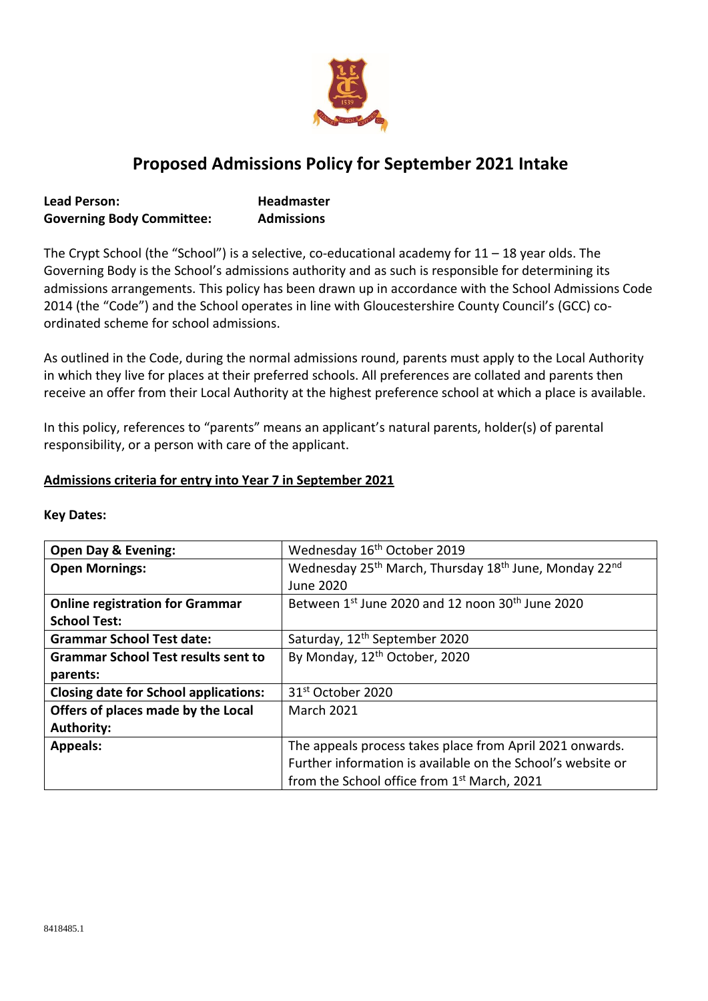

# **Proposed Admissions Policy for September 2021 Intake**

| <b>Lead Person:</b>              | <b>Headmaster</b> |
|----------------------------------|-------------------|
| <b>Governing Body Committee:</b> | <b>Admissions</b> |

The Crypt School (the "School") is a selective, co-educational academy for 11 – 18 year olds. The Governing Body is the School's admissions authority and as such is responsible for determining its admissions arrangements. This policy has been drawn up in accordance with the School Admissions Code 2014 (the "Code") and the School operates in line with Gloucestershire County Council's (GCC) coordinated scheme for school admissions.

As outlined in the Code, during the normal admissions round, parents must apply to the Local Authority in which they live for places at their preferred schools. All preferences are collated and parents then receive an offer from their Local Authority at the highest preference school at which a place is available.

In this policy, references to "parents" means an applicant's natural parents, holder(s) of parental responsibility, or a person with care of the applicant.

### **Admissions criteria for entry into Year 7 in September 2021**

| <b>Open Day &amp; Evening:</b>               | Wednesday 16 <sup>th</sup> October 2019                                                   |
|----------------------------------------------|-------------------------------------------------------------------------------------------|
| <b>Open Mornings:</b>                        | Wednesday 25 <sup>th</sup> March, Thursday 18 <sup>th</sup> June, Monday 22 <sup>nd</sup> |
|                                              | June 2020                                                                                 |
| <b>Online registration for Grammar</b>       | Between 1st June 2020 and 12 noon 30 <sup>th</sup> June 2020                              |
| <b>School Test:</b>                          |                                                                                           |
| <b>Grammar School Test date:</b>             | Saturday, 12 <sup>th</sup> September 2020                                                 |
| <b>Grammar School Test results sent to</b>   | By Monday, 12 <sup>th</sup> October, 2020                                                 |
| parents:                                     |                                                                                           |
| <b>Closing date for School applications:</b> | 31 <sup>st</sup> October 2020                                                             |
| Offers of places made by the Local           | <b>March 2021</b>                                                                         |
| <b>Authority:</b>                            |                                                                                           |
| <b>Appeals:</b>                              | The appeals process takes place from April 2021 onwards.                                  |
|                                              | Further information is available on the School's website or                               |
|                                              | from the School office from 1 <sup>st</sup> March, 2021                                   |

### **Key Dates:**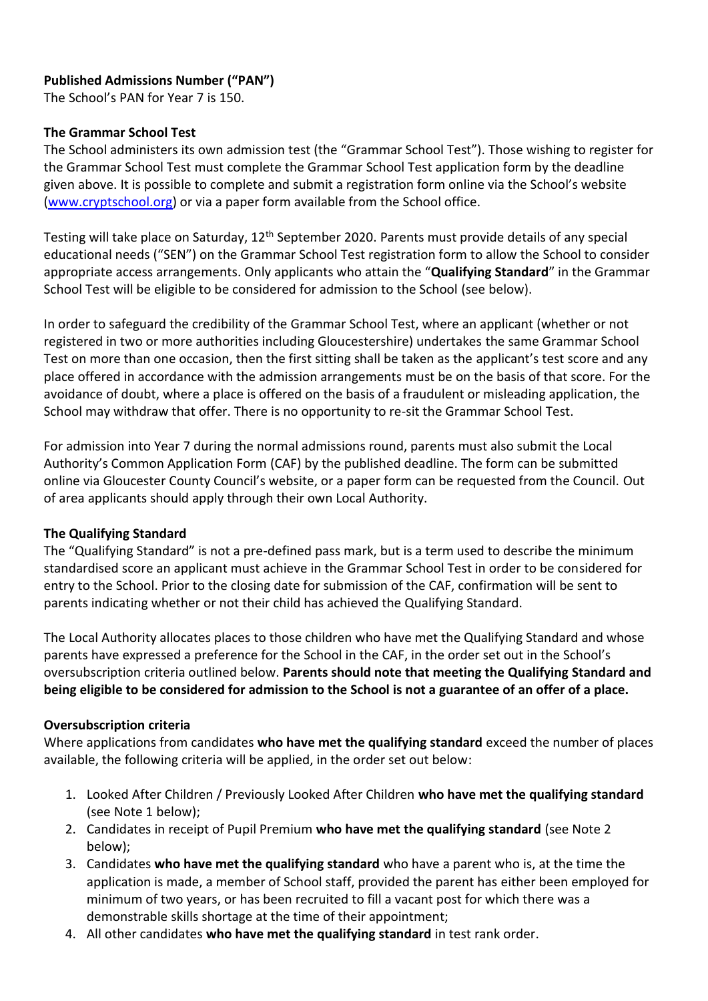# **Published Admissions Number ("PAN")**

The School's PAN for Year 7 is 150.

### **The Grammar School Test**

The School administers its own admission test (the "Grammar School Test"). Those wishing to register for the Grammar School Test must complete the Grammar School Test application form by the deadline given above. It is possible to complete and submit a registration form online via the School's website [\(www.cryptschool.org\)](http://www.cryptschool.org/) or via a paper form available from the School office.

Testing will take place on Saturday, 12<sup>th</sup> September 2020. Parents must provide details of any special educational needs ("SEN") on the Grammar School Test registration form to allow the School to consider appropriate access arrangements. Only applicants who attain the "**Qualifying Standard**" in the Grammar School Test will be eligible to be considered for admission to the School (see below).

In order to safeguard the credibility of the Grammar School Test, where an applicant (whether or not registered in two or more authorities including Gloucestershire) undertakes the same Grammar School Test on more than one occasion, then the first sitting shall be taken as the applicant's test score and any place offered in accordance with the admission arrangements must be on the basis of that score. For the avoidance of doubt, where a place is offered on the basis of a fraudulent or misleading application, the School may withdraw that offer. There is no opportunity to re-sit the Grammar School Test.

For admission into Year 7 during the normal admissions round, parents must also submit the Local Authority's Common Application Form (CAF) by the published deadline. The form can be submitted online via Gloucester County Council's website, or a paper form can be requested from the Council. Out of area applicants should apply through their own Local Authority.

### **The Qualifying Standard**

The "Qualifying Standard" is not a pre-defined pass mark, but is a term used to describe the minimum standardised score an applicant must achieve in the Grammar School Test in order to be considered for entry to the School. Prior to the closing date for submission of the CAF, confirmation will be sent to parents indicating whether or not their child has achieved the Qualifying Standard.

The Local Authority allocates places to those children who have met the Qualifying Standard and whose parents have expressed a preference for the School in the CAF, in the order set out in the School's oversubscription criteria outlined below. **Parents should note that meeting the Qualifying Standard and being eligible to be considered for admission to the School is not a guarantee of an offer of a place.**

### **Oversubscription criteria**

Where applications from candidates **who have met the qualifying standard** exceed the number of places available, the following criteria will be applied, in the order set out below:

- 1. Looked After Children / Previously Looked After Children **who have met the qualifying standard** (see Note 1 below);
- 2. Candidates in receipt of Pupil Premium **who have met the qualifying standard** (see Note 2 below);
- 3. Candidates **who have met the qualifying standard** who have a parent who is, at the time the application is made, a member of School staff, provided the parent has either been employed for minimum of two years, or has been recruited to fill a vacant post for which there was a demonstrable skills shortage at the time of their appointment;
- 4. All other candidates **who have met the qualifying standard** in test rank order.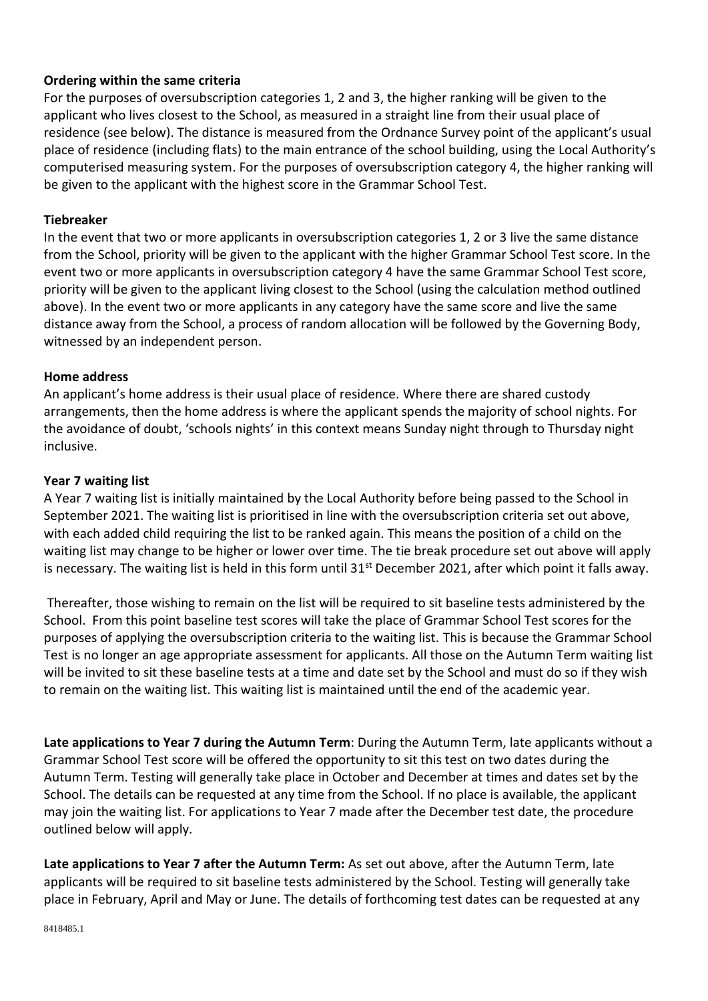# **Ordering within the same criteria**

For the purposes of oversubscription categories 1, 2 and 3, the higher ranking will be given to the applicant who lives closest to the School, as measured in a straight line from their usual place of residence (see below). The distance is measured from the Ordnance Survey point of the applicant's usual place of residence (including flats) to the main entrance of the school building, using the Local Authority's computerised measuring system. For the purposes of oversubscription category 4, the higher ranking will be given to the applicant with the highest score in the Grammar School Test.

### **Tiebreaker**

In the event that two or more applicants in oversubscription categories 1, 2 or 3 live the same distance from the School, priority will be given to the applicant with the higher Grammar School Test score. In the event two or more applicants in oversubscription category 4 have the same Grammar School Test score, priority will be given to the applicant living closest to the School (using the calculation method outlined above). In the event two or more applicants in any category have the same score and live the same distance away from the School, a process of random allocation will be followed by the Governing Body, witnessed by an independent person.

### **Home address**

An applicant's home address is their usual place of residence. Where there are shared custody arrangements, then the home address is where the applicant spends the majority of school nights. For the avoidance of doubt, 'schools nights' in this context means Sunday night through to Thursday night inclusive.

### **Year 7 waiting list**

A Year 7 waiting list is initially maintained by the Local Authority before being passed to the School in September 2021. The waiting list is prioritised in line with the oversubscription criteria set out above, with each added child requiring the list to be ranked again. This means the position of a child on the waiting list may change to be higher or lower over time. The tie break procedure set out above will apply is necessary. The waiting list is held in this form until 31<sup>st</sup> December 2021, after which point it falls away.

Thereafter, those wishing to remain on the list will be required to sit baseline tests administered by the School. From this point baseline test scores will take the place of Grammar School Test scores for the purposes of applying the oversubscription criteria to the waiting list. This is because the Grammar School Test is no longer an age appropriate assessment for applicants. All those on the Autumn Term waiting list will be invited to sit these baseline tests at a time and date set by the School and must do so if they wish to remain on the waiting list. This waiting list is maintained until the end of the academic year.

**Late applications to Year 7 during the Autumn Term**: During the Autumn Term, late applicants without a Grammar School Test score will be offered the opportunity to sit this test on two dates during the Autumn Term. Testing will generally take place in October and December at times and dates set by the School. The details can be requested at any time from the School. If no place is available, the applicant may join the waiting list. For applications to Year 7 made after the December test date, the procedure outlined below will apply.

**Late applications to Year 7 after the Autumn Term:** As set out above, after the Autumn Term, late applicants will be required to sit baseline tests administered by the School. Testing will generally take place in February, April and May or June. The details of forthcoming test dates can be requested at any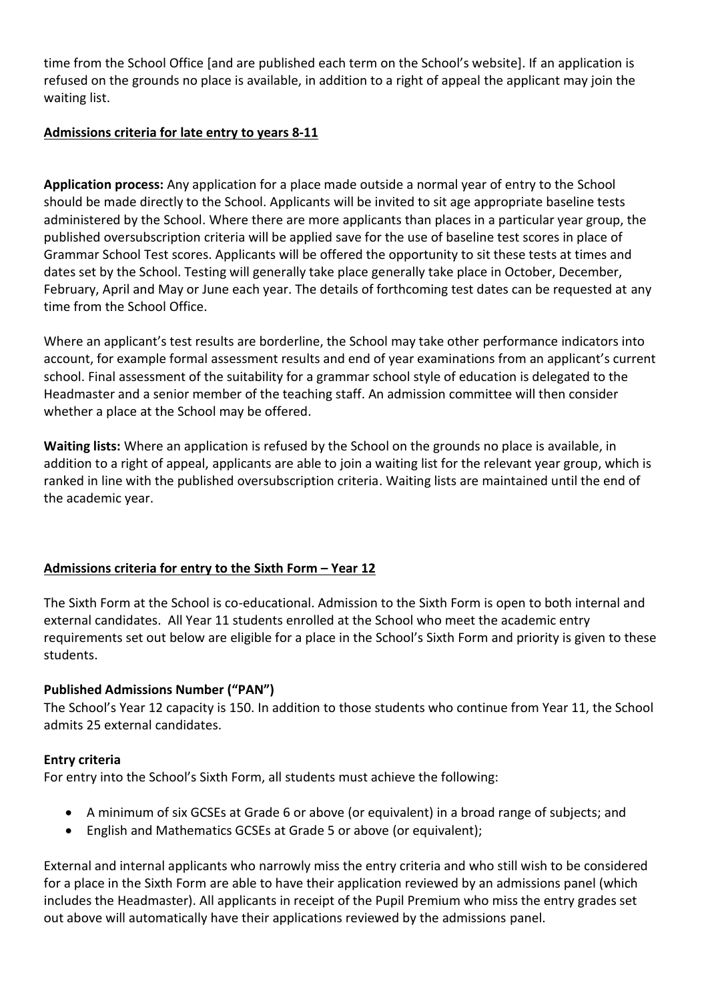time from the School Office [and are published each term on the School's website]. If an application is refused on the grounds no place is available, in addition to a right of appeal the applicant may join the waiting list.

# **Admissions criteria for late entry to years 8-11**

**Application process:** Any application for a place made outside a normal year of entry to the School should be made directly to the School. Applicants will be invited to sit age appropriate baseline tests administered by the School. Where there are more applicants than places in a particular year group, the published oversubscription criteria will be applied save for the use of baseline test scores in place of Grammar School Test scores. Applicants will be offered the opportunity to sit these tests at times and dates set by the School. Testing will generally take place generally take place in October, December, February, April and May or June each year. The details of forthcoming test dates can be requested at any time from the School Office.

Where an applicant's test results are borderline, the School may take other performance indicators into account, for example formal assessment results and end of year examinations from an applicant's current school. Final assessment of the suitability for a grammar school style of education is delegated to the Headmaster and a senior member of the teaching staff. An admission committee will then consider whether a place at the School may be offered.

**Waiting lists:** Where an application is refused by the School on the grounds no place is available, in addition to a right of appeal, applicants are able to join a waiting list for the relevant year group, which is ranked in line with the published oversubscription criteria. Waiting lists are maintained until the end of the academic year.

# **Admissions criteria for entry to the Sixth Form – Year 12**

The Sixth Form at the School is co-educational. Admission to the Sixth Form is open to both internal and external candidates. All Year 11 students enrolled at the School who meet the academic entry requirements set out below are eligible for a place in the School's Sixth Form and priority is given to these students.

# **Published Admissions Number ("PAN")**

The School's Year 12 capacity is 150. In addition to those students who continue from Year 11, the School admits 25 external candidates.

# **Entry criteria**

For entry into the School's Sixth Form, all students must achieve the following:

- A minimum of six GCSEs at Grade 6 or above (or equivalent) in a broad range of subjects; and
- English and Mathematics GCSEs at Grade 5 or above (or equivalent);

External and internal applicants who narrowly miss the entry criteria and who still wish to be considered for a place in the Sixth Form are able to have their application reviewed by an admissions panel (which includes the Headmaster). All applicants in receipt of the Pupil Premium who miss the entry grades set out above will automatically have their applications reviewed by the admissions panel.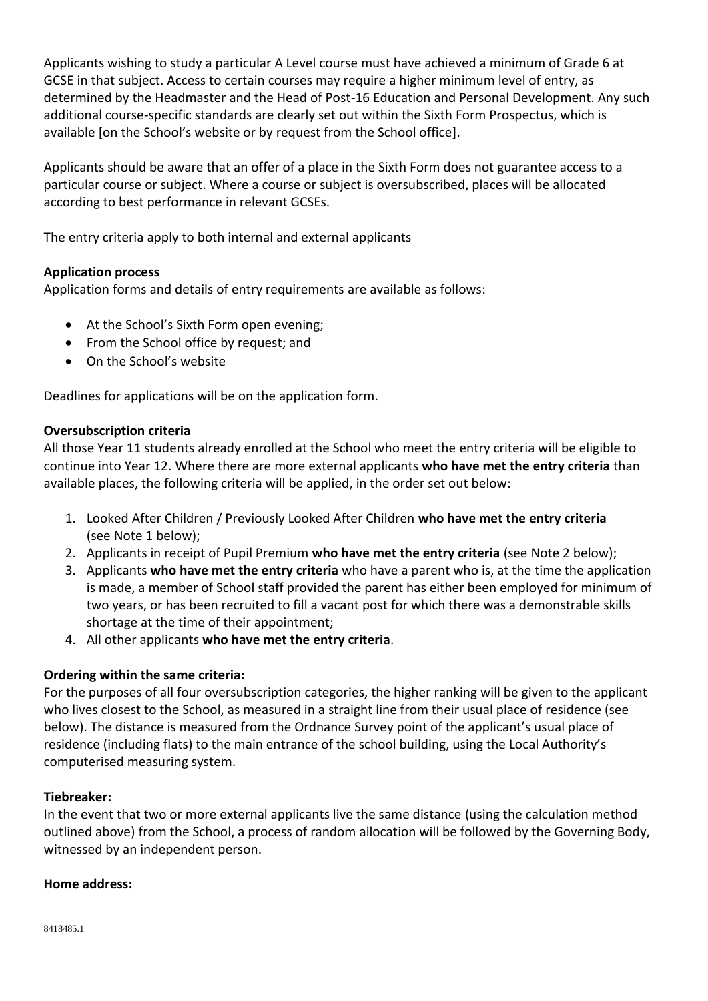Applicants wishing to study a particular A Level course must have achieved a minimum of Grade 6 at GCSE in that subject. Access to certain courses may require a higher minimum level of entry, as determined by the Headmaster and the Head of Post-16 Education and Personal Development. Any such additional course-specific standards are clearly set out within the Sixth Form Prospectus, which is available [on the School's website or by request from the School office].

Applicants should be aware that an offer of a place in the Sixth Form does not guarantee access to a particular course or subject. Where a course or subject is oversubscribed, places will be allocated according to best performance in relevant GCSEs.

The entry criteria apply to both internal and external applicants

### **Application process**

Application forms and details of entry requirements are available as follows:

- At the School's Sixth Form open evening;
- From the School office by request; and
- On the School's website

Deadlines for applications will be on the application form.

### **Oversubscription criteria**

All those Year 11 students already enrolled at the School who meet the entry criteria will be eligible to continue into Year 12. Where there are more external applicants **who have met the entry criteria** than available places, the following criteria will be applied, in the order set out below:

- 1. Looked After Children / Previously Looked After Children **who have met the entry criteria** (see Note 1 below);
- 2. Applicants in receipt of Pupil Premium **who have met the entry criteria** (see Note 2 below);
- 3. Applicants **who have met the entry criteria** who have a parent who is, at the time the application is made, a member of School staff provided the parent has either been employed for minimum of two years, or has been recruited to fill a vacant post for which there was a demonstrable skills shortage at the time of their appointment;
- 4. All other applicants **who have met the entry criteria**.

### **Ordering within the same criteria:**

For the purposes of all four oversubscription categories, the higher ranking will be given to the applicant who lives closest to the School, as measured in a straight line from their usual place of residence (see below). The distance is measured from the Ordnance Survey point of the applicant's usual place of residence (including flats) to the main entrance of the school building, using the Local Authority's computerised measuring system.

### **Tiebreaker:**

In the event that two or more external applicants live the same distance (using the calculation method outlined above) from the School, a process of random allocation will be followed by the Governing Body, witnessed by an independent person.

#### **Home address:**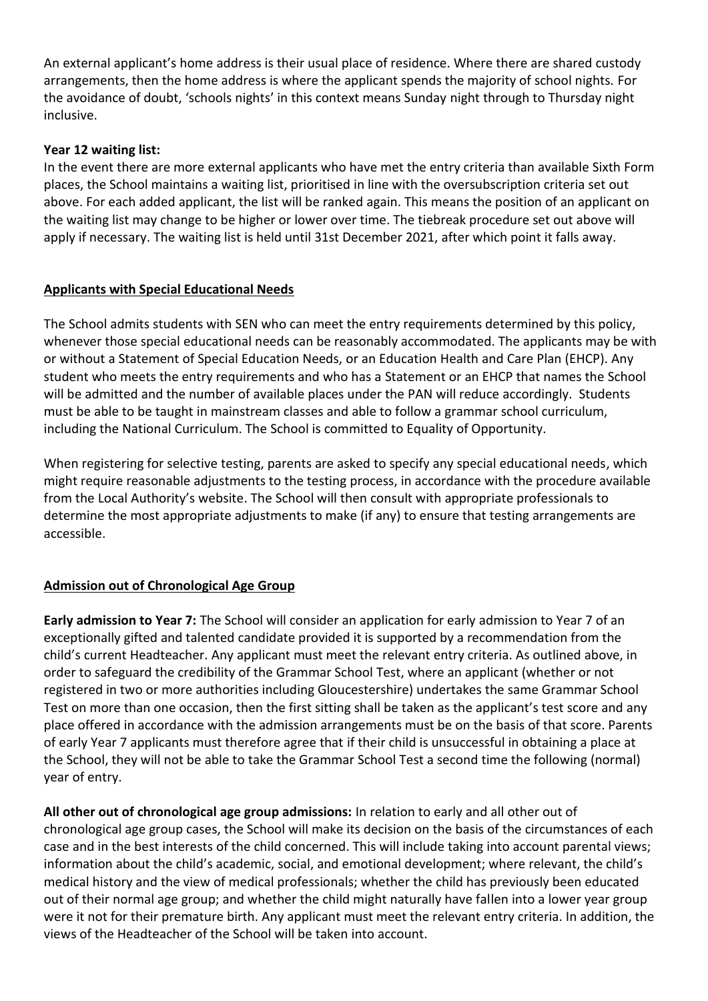An external applicant's home address is their usual place of residence. Where there are shared custody arrangements, then the home address is where the applicant spends the majority of school nights. For the avoidance of doubt, 'schools nights' in this context means Sunday night through to Thursday night inclusive.

# **Year 12 waiting list:**

In the event there are more external applicants who have met the entry criteria than available Sixth Form places, the School maintains a waiting list, prioritised in line with the oversubscription criteria set out above. For each added applicant, the list will be ranked again. This means the position of an applicant on the waiting list may change to be higher or lower over time. The tiebreak procedure set out above will apply if necessary. The waiting list is held until 31st December 2021, after which point it falls away.

# **Applicants with Special Educational Needs**

The School admits students with SEN who can meet the entry requirements determined by this policy, whenever those special educational needs can be reasonably accommodated. The applicants may be with or without a Statement of Special Education Needs, or an Education Health and Care Plan (EHCP). Any student who meets the entry requirements and who has a Statement or an EHCP that names the School will be admitted and the number of available places under the PAN will reduce accordingly. Students must be able to be taught in mainstream classes and able to follow a grammar school curriculum, including the National Curriculum. The School is committed to Equality of Opportunity.

When registering for selective testing, parents are asked to specify any special educational needs, which might require reasonable adjustments to the testing process, in accordance with the procedure available from the Local Authority's website. The School will then consult with appropriate professionals to determine the most appropriate adjustments to make (if any) to ensure that testing arrangements are accessible.

# **Admission out of Chronological Age Group**

**Early admission to Year 7:** The School will consider an application for early admission to Year 7 of an exceptionally gifted and talented candidate provided it is supported by a recommendation from the child's current Headteacher. Any applicant must meet the relevant entry criteria. As outlined above, in order to safeguard the credibility of the Grammar School Test, where an applicant (whether or not registered in two or more authorities including Gloucestershire) undertakes the same Grammar School Test on more than one occasion, then the first sitting shall be taken as the applicant's test score and any place offered in accordance with the admission arrangements must be on the basis of that score. Parents of early Year 7 applicants must therefore agree that if their child is unsuccessful in obtaining a place at the School, they will not be able to take the Grammar School Test a second time the following (normal) year of entry.

**All other out of chronological age group admissions:** In relation to early and all other out of chronological age group cases, the School will make its decision on the basis of the circumstances of each case and in the best interests of the child concerned. This will include taking into account parental views; information about the child's academic, social, and emotional development; where relevant, the child's medical history and the view of medical professionals; whether the child has previously been educated out of their normal age group; and whether the child might naturally have fallen into a lower year group were it not for their premature birth. Any applicant must meet the relevant entry criteria. In addition, the views of the Headteacher of the School will be taken into account.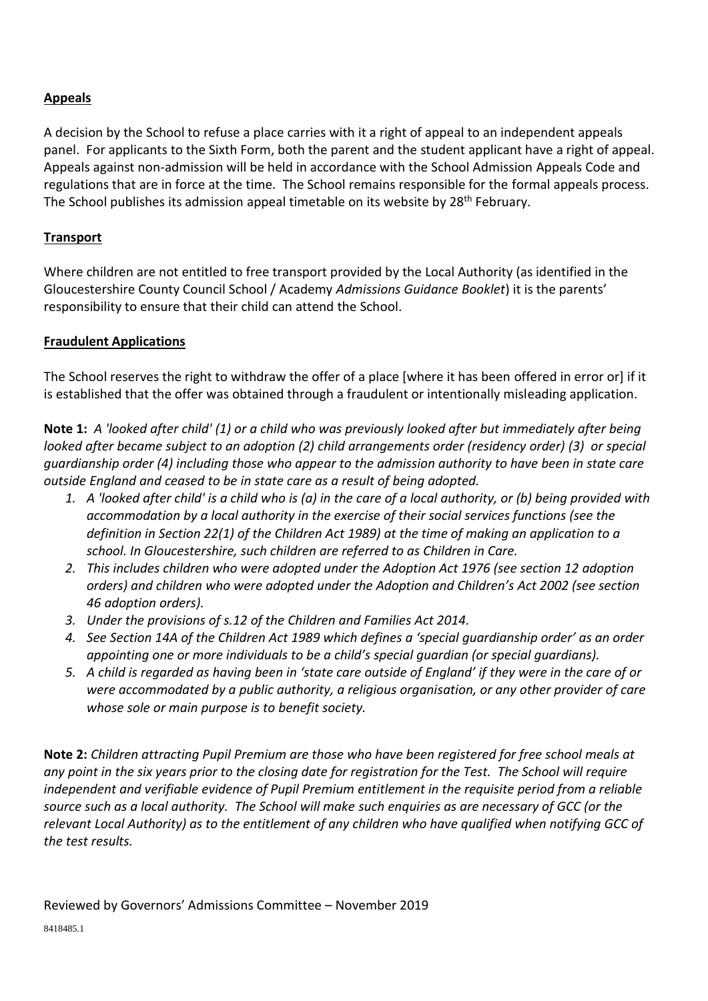# **Appeals**

A decision by the School to refuse a place carries with it a right of appeal to an independent appeals panel. For applicants to the Sixth Form, both the parent and the student applicant have a right of appeal. Appeals against non-admission will be held in accordance with the School Admission Appeals Code and regulations that are in force at the time. The School remains responsible for the formal appeals process. The School publishes its admission appeal timetable on its website by 28<sup>th</sup> February.

# **Transport**

Where children are not entitled to free transport provided by the Local Authority (as identified in the Gloucestershire County Council School / Academy *Admissions Guidance Booklet*) it is the parents' responsibility to ensure that their child can attend the School.

# **Fraudulent Applications**

The School reserves the right to withdraw the offer of a place [where it has been offered in error or] if it is established that the offer was obtained through a fraudulent or intentionally misleading application.

**Note 1:** *A 'looked after child' (1) or a child who was previously looked after but immediately after being looked after became subject to an adoption (2) child arrangements order (residency order) (3) or special guardianship order (4) including those who appear to the admission authority to have been in state care outside England and ceased to be in state care as a result of being adopted.* 

- *1. A 'looked after child' is a child who is (a) in the care of a local authority, or (b) being provided with accommodation by a local authority in the exercise of their social services functions (see the definition in Section 22(1) of the Children Act 1989) at the time of making an application to a school. In Gloucestershire, such children are referred to as Children in Care.*
- *2. This includes children who were adopted under the Adoption Act 1976 (see section 12 adoption orders) and children who were adopted under the Adoption and Children's Act 2002 (see section 46 adoption orders).*
- *3. Under the provisions of s.12 of the Children and Families Act 2014.*
- *4. See Section 14A of the Children Act 1989 which defines a 'special guardianship order' as an order appointing one or more individuals to be a child's special guardian (or special guardians).*
- *5. A child is regarded as having been in 'state care outside of England' if they were in the care of or were accommodated by a public authority, a religious organisation, or any other provider of care whose sole or main purpose is to benefit society.*

**Note 2:** *Children attracting Pupil Premium are those who have been registered for free school meals at any point in the six years prior to the closing date for registration for the Test. The School will require independent and verifiable evidence of Pupil Premium entitlement in the requisite period from a reliable source such as a local authority. The School will make such enquiries as are necessary of GCC (or the relevant Local Authority) as to the entitlement of any children who have qualified when notifying GCC of the test results.*